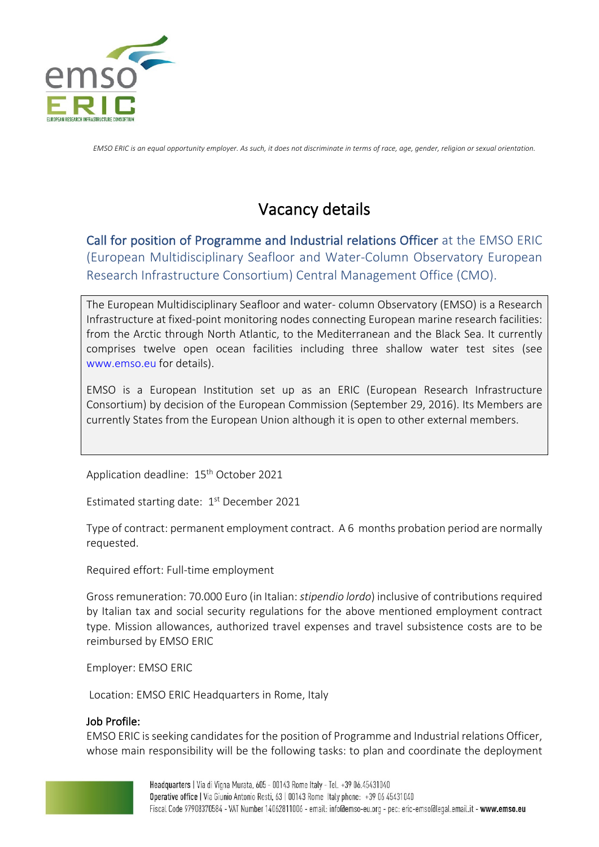

*EMSO ERIC is an equal opportunity employer. As such, it does not discriminate in terms of race, age, gender, religion or sexual orientation.*

# Vacancy details

Call for position of Programme and Industrial relations Officer at the EMSO ERIC (European Multidisciplinary Seafloor and Water-Column Observatory European Research Infrastructure Consortium) Central Management Office (CMO).

The European Multidisciplinary Seafloor and water- column Observatory (EMSO) is a Research Infrastructure at fixed-point monitoring nodes connecting European marine research facilities: from the Arctic through North Atlantic, to the Mediterranean and the Black Sea. It currently comprises twelve open ocean facilities including three shallow water test sites (see www.emso.eu for details).

EMSO is a European Institution set up as an ERIC (European Research Infrastructure Consortium) by decision of the European Commission (September 29, 2016). Its Members are currently States from the European Union although it is open to other external members.

Application deadline: 15<sup>th</sup> October 2021

Estimated starting date: 1<sup>st</sup> December 2021

Type of contract: permanent employment contract. A 6 months probation period are normally requested.

Required effort: Full-time employment

Gross remuneration: 70.000 Euro (in Italian: *stipendio lordo*) inclusive of contributions required by Italian tax and social security regulations for the above mentioned employment contract type. Mission allowances, authorized travel expenses and travel subsistence costs are to be reimbursed by EMSO ERIC

Employer: EMSO ERIC

Location: EMSO ERIC Headquarters in Rome, Italy

## Job Profile:

EMSO ERIC is seeking candidates for the position of Programme and Industrial relations Officer, whose main responsibility will be the following tasks: to plan and coordinate the deployment

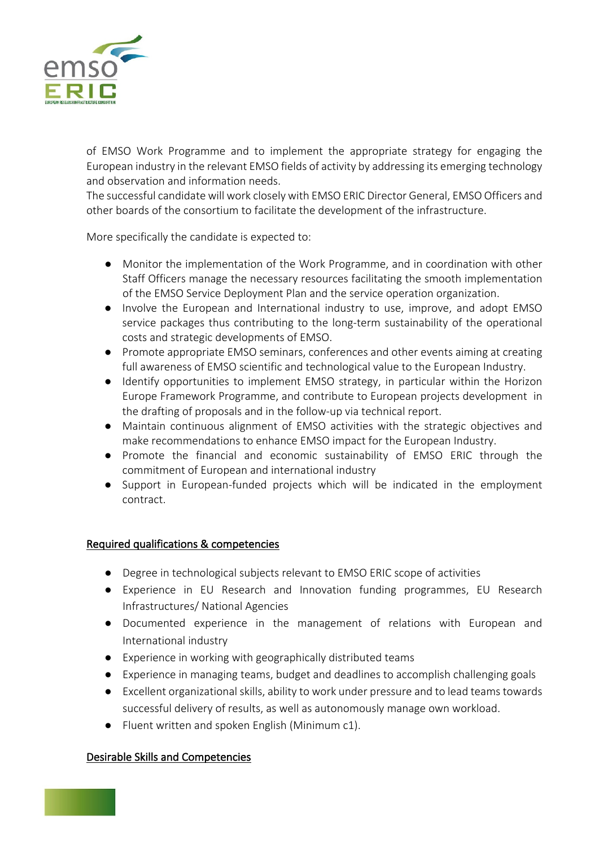

of EMSO Work Programme and to implement the appropriate strategy for engaging the European industry in the relevant EMSO fields of activity by addressing its emerging technology and observation and information needs.

The successful candidate will work closely with EMSO ERIC Director General, EMSO Officers and other boards of the consortium to facilitate the development of the infrastructure.

More specifically the candidate is expected to:

- Monitor the implementation of the Work Programme, and in coordination with other Staff Officers manage the necessary resources facilitating the smooth implementation of the EMSO Service Deployment Plan and the service operation organization.
- Involve the European and International industry to use, improve, and adopt EMSO service packages thus contributing to the long-term sustainability of the operational costs and strategic developments of EMSO.
- Promote appropriate EMSO seminars, conferences and other events aiming at creating full awareness of EMSO scientific and technological value to the European Industry.
- Identify opportunities to implement EMSO strategy, in particular within the Horizon Europe Framework Programme, and contribute to European projects development in the drafting of proposals and in the follow-up via technical report.
- Maintain continuous alignment of EMSO activities with the strategic objectives and make recommendations to enhance EMSO impact for the European Industry.
- Promote the financial and economic sustainability of EMSO ERIC through the commitment of European and international industry
- Support in European-funded projects which will be indicated in the employment contract.

## Required qualifications & competencies

- Degree in technological subjects relevant to EMSO ERIC scope of activities
- Experience in EU Research and Innovation funding programmes, EU Research Infrastructures/ National Agencies
- Documented experience in the management of relations with European and International industry
- Experience in working with geographically distributed teams
- Experience in managing teams, budget and deadlines to accomplish challenging goals
- Excellent organizational skills, ability to work under pressure and to lead teams towards successful delivery of results, as well as autonomously manage own workload.
- Fluent written and spoken English (Minimum c1).

## Desirable Skills and Competencies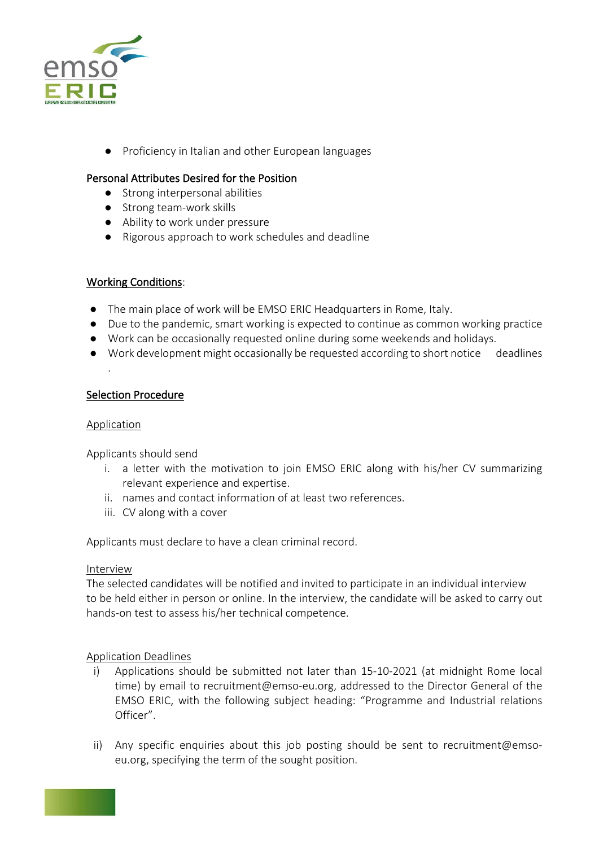

● Proficiency in Italian and other European languages

## Personal Attributes Desired for the Position

- Strong interpersonal abilities
- Strong team-work skills
- Ability to work under pressure
- Rigorous approach to work schedules and deadline

#### Working Conditions:

- The main place of work will be EMSO ERIC Headquarters in Rome, Italy.
- Due to the pandemic, smart working is expected to continue as common working practice
- Work can be occasionally requested online during some weekends and holidays.
- Work development might occasionally be requested according to short notice deadlines

### Selection Procedure

#### Application

.

Applicants should send

- i. a letter with the motivation to join EMSO ERIC along with his/her CV summarizing relevant experience and expertise.
- ii. names and contact information of at least two references.
- iii. CV along with a cover

Applicants must declare to have a clean criminal record.

#### Interview

The selected candidates will be notified and invited to participate in an individual interview to be held either in person or online. In the interview, the candidate will be asked to carry out hands-on test to assess his/her technical competence.

#### Application Deadlines

- i) Applications should be submitted not later than 15-10-2021 (at midnight Rome local time) by email to recruitment@emso-eu.org, addressed to the Director General of the EMSO ERIC, with the following subject heading: "Programme and Industrial relations Officer".
- ii) Any specific enquiries about this job posting should be sent to recruitment@emsoeu.org, specifying the term of the sought position.